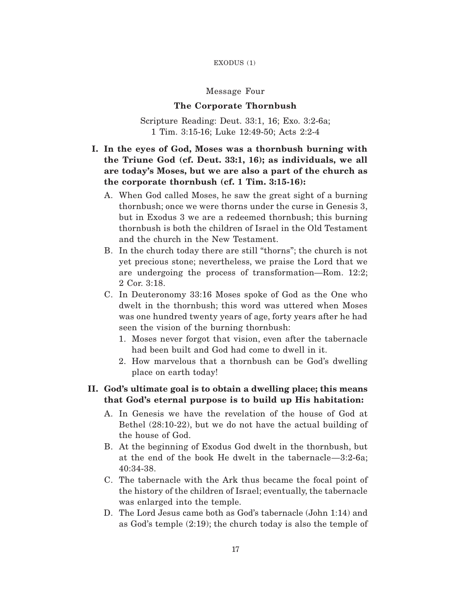#### EXODUS (1)

### Message Four

### **The Corporate Thornbush**

Scripture Reading: Deut. 33:1, 16; Exo. 3:2-6a; 1 Tim. 3:15-16; Luke 12:49-50; Acts 2:2-4

# **I. In the eyes of God, Moses was a thornbush burning with the Triune God (cf. Deut. 33:1, 16); as individuals, we all are today's Moses, but we are also a part of the church as the corporate thornbush (cf. 1 Tim. 3:15-16):**

- A. When God called Moses, he saw the great sight of a burning thornbush; once we were thorns under the curse in Genesis 3, but in Exodus 3 we are a redeemed thornbush; this burning thornbush is both the children of Israel in the Old Testament and the church in the New Testament.
- B. In the church today there are still "thorns"; the church is not yet precious stone; nevertheless, we praise the Lord that we are undergoing the process of transformation—Rom. 12:2; 2 Cor. 3:18.
- C. In Deuteronomy 33:16 Moses spoke of God as the One who dwelt in the thornbush; this word was uttered when Moses was one hundred twenty years of age, forty years after he had seen the vision of the burning thornbush:
	- 1. Moses never forgot that vision, even after the tabernacle had been built and God had come to dwell in it.
	- 2. How marvelous that a thornbush can be God's dwelling place on earth today!

# **II. God's ultimate goal is to obtain a dwelling place; this means that God's eternal purpose is to build up His habitation:**

- A. In Genesis we have the revelation of the house of God at Bethel (28:10-22), but we do not have the actual building of the house of God.
- B. At the beginning of Exodus God dwelt in the thornbush, but at the end of the book He dwelt in the tabernacle—3:2-6a; 40:34-38.
- C. The tabernacle with the Ark thus became the focal point of the history of the children of Israel; eventually, the tabernacle was enlarged into the temple.
- D. The Lord Jesus came both as God's tabernacle (John 1:14) and as God's temple (2:19); the church today is also the temple of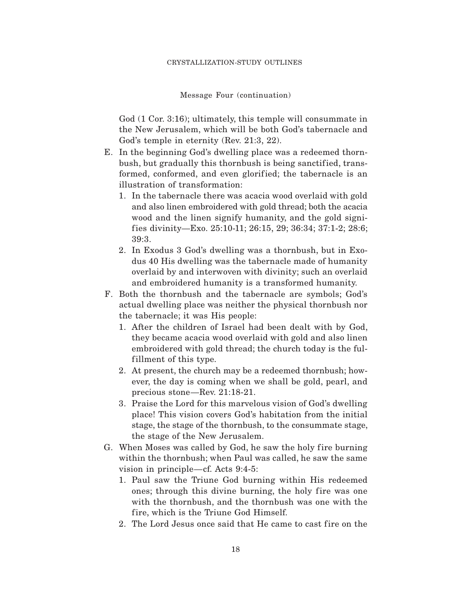Message Four (continuation)

God (1 Cor. 3:16); ultimately, this temple will consummate in the New Jerusalem, which will be both God's tabernacle and God's temple in eternity (Rev. 21:3, 22).

- E. In the beginning God's dwelling place was a redeemed thornbush, but gradually this thornbush is being sanctified, transformed, conformed, and even glorified; the tabernacle is an illustration of transformation:
	- 1. In the tabernacle there was acacia wood overlaid with gold and also linen embroidered with gold thread; both the acacia wood and the linen signify humanity, and the gold signif ies divinity—Exo. 25:10-11; 26:15, 29; 36:34; 37:1-2; 28:6; 39:3.
	- 2. In Exodus 3 God's dwelling was a thornbush, but in Exodus 40 His dwelling was the tabernacle made of humanity overlaid by and interwoven with divinity; such an overlaid and embroidered humanity is a transformed humanity.
- F. Both the thornbush and the tabernacle are symbols; God's actual dwelling place was neither the physical thornbush nor the tabernacle; it was His people:
	- 1. After the children of Israel had been dealt with by God, they became acacia wood overlaid with gold and also linen embroidered with gold thread; the church today is the fulfillment of this type.
	- 2. At present, the church may be a redeemed thornbush; however, the day is coming when we shall be gold, pearl, and precious stone—Rev. 21:18-21.
	- 3. Praise the Lord for this marvelous vision of God's dwelling place! This vision covers God's habitation from the initial stage, the stage of the thornbush, to the consummate stage, the stage of the New Jerusalem.
- G. When Moses was called by God, he saw the holy fire burning within the thornbush; when Paul was called, he saw the same vision in principle—cf. Acts 9:4-5:
	- 1. Paul saw the Triune God burning within His redeemed ones; through this divine burning, the holy fire was one with the thornbush, and the thornbush was one with the fire, which is the Triune God Himself.
	- 2. The Lord Jesus once said that He came to cast fire on the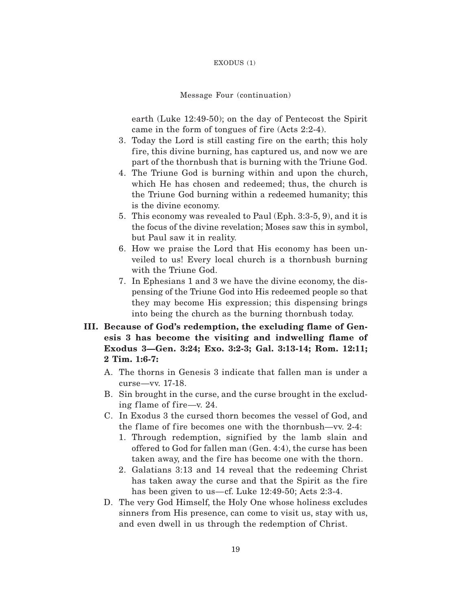#### EXODUS (1)

#### Message Four (continuation)

earth (Luke 12:49-50); on the day of Pentecost the Spirit came in the form of tongues of fire  $(Acts 2:2-4)$ .

- 3. Today the Lord is still casting fire on the earth; this holy fire, this divine burning, has captured us, and now we are part of the thornbush that is burning with the Triune God.
- 4. The Triune God is burning within and upon the church, which He has chosen and redeemed; thus, the church is the Triune God burning within a redeemed humanity; this is the divine economy.
- 5. This economy was revealed to Paul (Eph. 3:3-5, 9), and it is the focus of the divine revelation; Moses saw this in symbol, but Paul saw it in reality.
- 6. How we praise the Lord that His economy has been unveiled to us! Every local church is a thornbush burning with the Triune God.
- 7. In Ephesians 1 and 3 we have the divine economy, the dispensing of the Triune God into His redeemed people so that they may become His expression; this dispensing brings into being the church as the burning thornbush today.
- **III. Because of God's redemption, the excluding flame of Genesis 3 has become the visiting and indwelling flame of Exodus 3—Gen. 3:24; Exo. 3:2-3; Gal. 3:13-14; Rom. 12:11; 2 Tim. 1:6-7:**
	- A. The thorns in Genesis 3 indicate that fallen man is under a curse—vv. 17-18.
	- B. Sin brought in the curse, and the curse brought in the excluding flame of fire—v.  $24$ .
	- C. In Exodus 3 the cursed thorn becomes the vessel of God, and the flame of fire becomes one with the thornbush—vv.  $2-4$ :
		- 1. Through redemption, signified by the lamb slain and offered to God for fallen man (Gen. 4:4), the curse has been taken away, and the fire has become one with the thorn.
		- 2. Galatians 3:13 and 14 reveal that the redeeming Christ has taken away the curse and that the Spirit as the fire has been given to us—cf. Luke 12:49-50; Acts 2:3-4.
	- D. The very God Himself, the Holy One whose holiness excludes sinners from His presence, can come to visit us, stay with us, and even dwell in us through the redemption of Christ.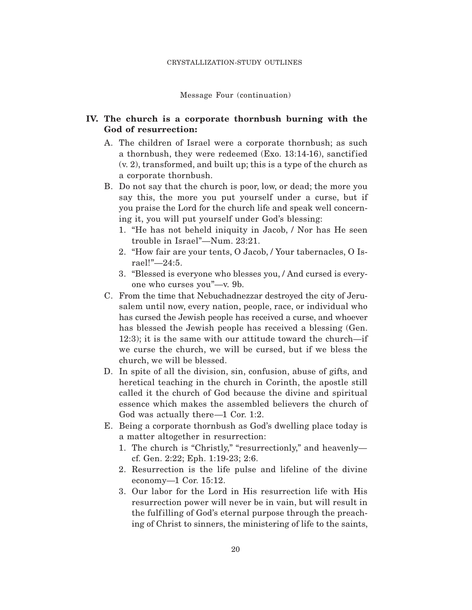Message Four (continuation)

# **IV. The church is a corporate thornbush burning with the God of resurrection:**

- A. The children of Israel were a corporate thornbush; as such a thornbush, they were redeemed  $(Exo. 13:14-16)$ , sanctified (v. 2), transformed, and built up; this is a type of the church as a corporate thornbush.
- B. Do not say that the church is poor, low, or dead; the more you say this, the more you put yourself under a curse, but if you praise the Lord for the church life and speak well concerning it, you will put yourself under God's blessing:
	- 1. "He has not beheld iniquity in Jacob, / Nor has He seen trouble in Israel"—Num. 23:21.
	- 2. "How fair are your tents, O Jacob, / Your tabernacles, O Israel!"—24:5.
	- 3. "Blessed is everyone who blesses you, / And cursed is everyone who curses you"—v. 9b.
- C. From the time that Nebuchadnezzar destroyed the city of Jerusalem until now, every nation, people, race, or individual who has cursed the Jewish people has received a curse, and whoever has blessed the Jewish people has received a blessing (Gen. 12:3); it is the same with our attitude toward the church—if we curse the church, we will be cursed, but if we bless the church, we will be blessed.
- D. In spite of all the division, sin, confusion, abuse of gifts, and heretical teaching in the church in Corinth, the apostle still called it the church of God because the divine and spiritual essence which makes the assembled believers the church of God was actually there—1 Cor. 1:2.
- E. Being a corporate thornbush as God's dwelling place today is a matter altogether in resurrection:
	- 1. The church is "Christly," "resurrectionly," and heavenly cf. Gen. 2:22; Eph. 1:19-23; 2:6.
	- 2. Resurrection is the life pulse and lifeline of the divine economy—1 Cor. 15:12.
	- 3. Our labor for the Lord in His resurrection life with His resurrection power will never be in vain, but will result in the fulfilling of God's eternal purpose through the preaching of Christ to sinners, the ministering of life to the saints,